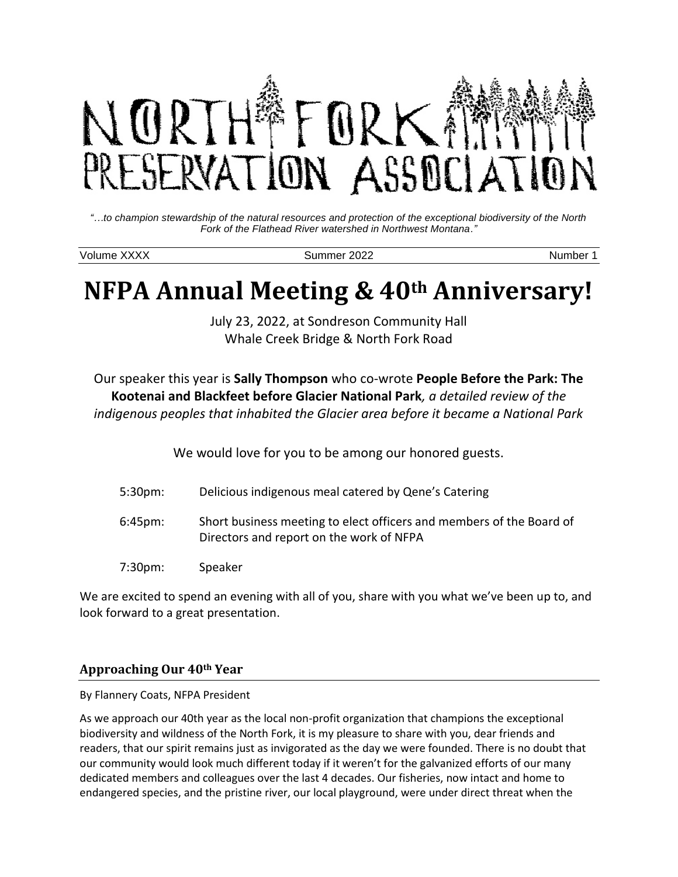

*"…to champion stewardship of the natural resources and protection of the exceptional biodiversity of the North Fork of the Flathead River watershed in Northwest Montana."*

Volume XXXX Summer 2022 Number 1

# **NFPA Annual Meeting & 40th Anniversary!**

July 23, 2022, at Sondreson Community Hall Whale Creek Bridge & North Fork Road

Our speaker this year is **Sally Thompson** who co-wrote **People Before the Park: The Kootenai and Blackfeet before Glacier National Park***, a detailed review of the indigenous peoples that inhabited the Glacier area before it became a National Park*

We would love for you to be among our honored guests.

| 5:30 <sub>pm</sub> | Delicious indigenous meal catered by Qene's Catering                                                             |
|--------------------|------------------------------------------------------------------------------------------------------------------|
| $6:45$ pm:         | Short business meeting to elect officers and members of the Board of<br>Directors and report on the work of NFPA |
| 7:30 <sub>pm</sub> | Speaker                                                                                                          |

We are excited to spend an evening with all of you, share with you what we've been up to, and look forward to a great presentation.

## **Approaching Our 40th Year**

By Flannery Coats, NFPA President

As we approach our 40th year as the local non-profit organization that champions the exceptional biodiversity and wildness of the North Fork, it is my pleasure to share with you, dear friends and readers, that our spirit remains just as invigorated as the day we were founded. There is no doubt that our community would look much different today if it weren't for the galvanized efforts of our many dedicated members and colleagues over the last 4 decades. Our fisheries, now intact and home to endangered species, and the pristine river, our local playground, were under direct threat when the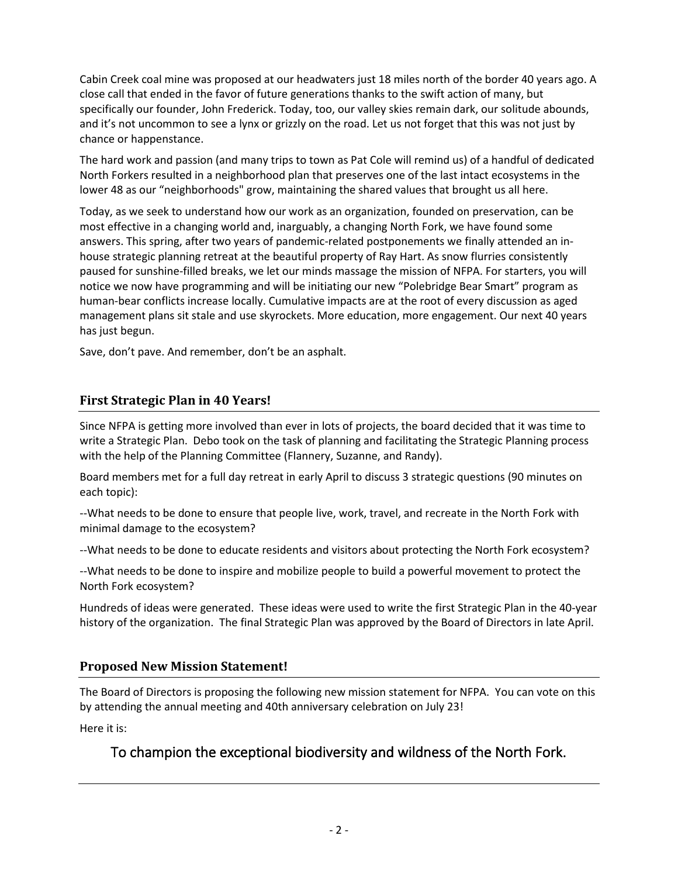Cabin Creek coal mine was proposed at our headwaters just 18 miles north of the border 40 years ago. A close call that ended in the favor of future generations thanks to the swift action of many, but specifically our founder, John Frederick. Today, too, our valley skies remain dark, our solitude abounds, and it's not uncommon to see a lynx or grizzly on the road. Let us not forget that this was not just by chance or happenstance.

The hard work and passion (and many trips to town as Pat Cole will remind us) of a handful of dedicated North Forkers resulted in a neighborhood plan that preserves one of the last intact ecosystems in the lower 48 as our "neighborhoods" grow, maintaining the shared values that brought us all here.

Today, as we seek to understand how our work as an organization, founded on preservation, can be most effective in a changing world and, inarguably, a changing North Fork, we have found some answers. This spring, after two years of pandemic-related postponements we finally attended an inhouse strategic planning retreat at the beautiful property of Ray Hart. As snow flurries consistently paused for sunshine-filled breaks, we let our minds massage the mission of NFPA. For starters, you will notice we now have programming and will be initiating our new "Polebridge Bear Smart" program as human-bear conflicts increase locally. Cumulative impacts are at the root of every discussion as aged management plans sit stale and use skyrockets. More education, more engagement. Our next 40 years has just begun.

Save, don't pave. And remember, don't be an asphalt.

## **First Strategic Plan in 40 Years!**

Since NFPA is getting more involved than ever in lots of projects, the board decided that it was time to write a Strategic Plan. Debo took on the task of planning and facilitating the Strategic Planning process with the help of the Planning Committee (Flannery, Suzanne, and Randy).

Board members met for a full day retreat in early April to discuss 3 strategic questions (90 minutes on each topic):

--What needs to be done to ensure that people live, work, travel, and recreate in the North Fork with minimal damage to the ecosystem?

--What needs to be done to educate residents and visitors about protecting the North Fork ecosystem?

--What needs to be done to inspire and mobilize people to build a powerful movement to protect the North Fork ecosystem?

Hundreds of ideas were generated. These ideas were used to write the first Strategic Plan in the 40-year history of the organization. The final Strategic Plan was approved by the Board of Directors in late April.

## **Proposed New Mission Statement!**

The Board of Directors is proposing the following new mission statement for NFPA. You can vote on this by attending the annual meeting and 40th anniversary celebration on July 23!

Here it is:

# To champion the exceptional biodiversity and wildness of the North Fork.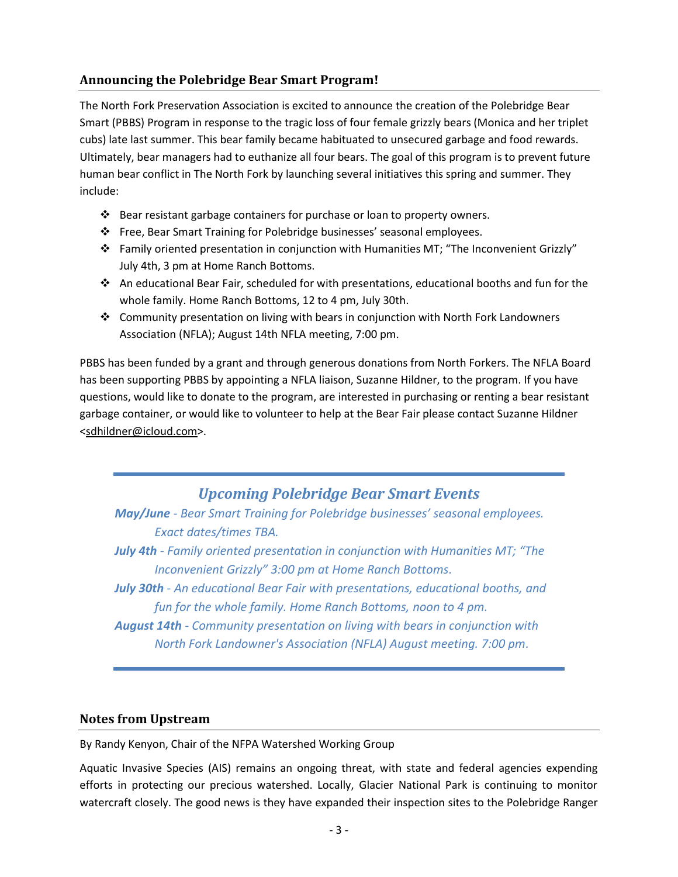## **Announcing the Polebridge Bear Smart Program!**

The North Fork Preservation Association is excited to announce the creation of the Polebridge Bear Smart (PBBS) Program in response to the tragic loss of four female grizzly bears (Monica and her triplet cubs) late last summer. This bear family became habituated to unsecured garbage and food rewards. Ultimately, bear managers had to euthanize all four bears. The goal of this program is to prevent future human bear conflict in The North Fork by launching several initiatives this spring and summer. They include:

- ❖ Bear resistant garbage containers for purchase or loan to property owners.
- ❖ Free, Bear Smart Training for Polebridge businesses' seasonal employees.
- ❖ Family oriented presentation in conjunction with Humanities MT; "The Inconvenient Grizzly" July 4th, 3 pm at Home Ranch Bottoms.
- ❖ An educational Bear Fair, scheduled for with presentations, educational booths and fun for the whole family. Home Ranch Bottoms, 12 to 4 pm, July 30th.
- ❖ Community presentation on living with bears in conjunction with North Fork Landowners Association (NFLA); August 14th NFLA meeting, 7:00 pm.

PBBS has been funded by a grant and through generous donations from North Forkers. The NFLA Board has been supporting PBBS by appointing a NFLA liaison, Suzanne Hildner, to the program. If you have questions, would like to donate to the program, are interested in purchasing or renting a bear resistant garbage container, or would like to volunteer to help at the Bear Fair please contact Suzanne Hildner [<sdhildner@icloud.com>](mailto:sdhildner@icloud.com).

# *Upcoming Polebridge Bear Smart Events*

*May/June - Bear Smart Training for Polebridge businesses' seasonal employees. Exact dates/times TBA.*

*July 4th - Family oriented presentation in conjunction with Humanities MT; "The Inconvenient Grizzly" 3:00 pm at Home Ranch Bottoms.*

*July 30th - An educational Bear Fair with presentations, educational booths, and fun for the whole family. Home Ranch Bottoms, noon to 4 pm.*

*August 14th - Community presentation on living with bears in conjunction with North Fork Landowner's Association (NFLA) August meeting. 7:00 pm.*

#### **Notes from Upstream**

By Randy Kenyon, Chair of the NFPA Watershed Working Group

Aquatic Invasive Species (AIS) remains an ongoing threat, with state and federal agencies expending efforts in protecting our precious watershed. Locally, Glacier National Park is continuing to monitor watercraft closely. The good news is they have expanded their inspection sites to the Polebridge Ranger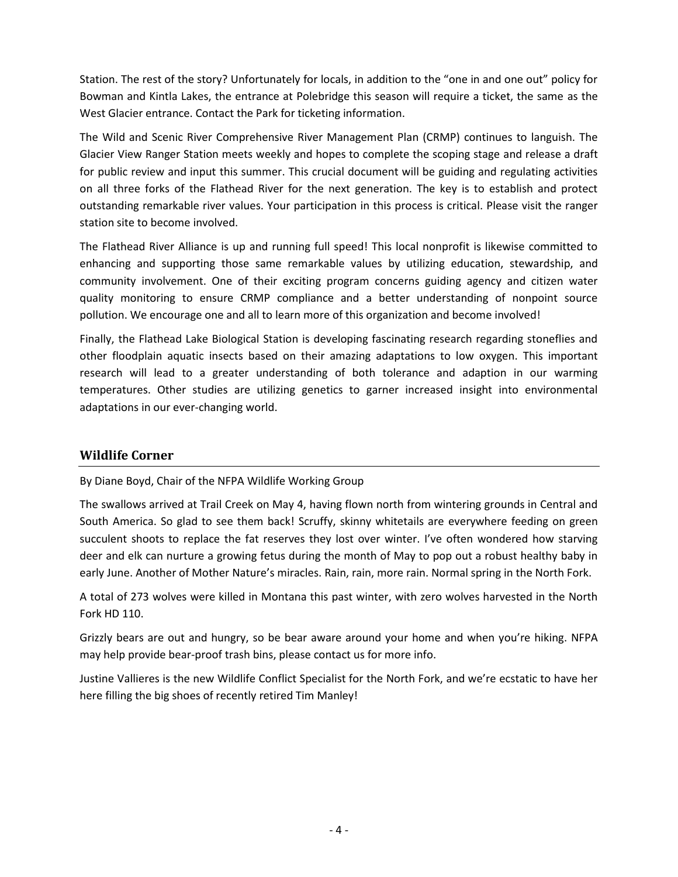Station. The rest of the story? Unfortunately for locals, in addition to the "one in and one out" policy for Bowman and Kintla Lakes, the entrance at Polebridge this season will require a ticket, the same as the West Glacier entrance. Contact the Park for ticketing information.

The Wild and Scenic River Comprehensive River Management Plan (CRMP) continues to languish. The Glacier View Ranger Station meets weekly and hopes to complete the scoping stage and release a draft for public review and input this summer. This crucial document will be guiding and regulating activities on all three forks of the Flathead River for the next generation. The key is to establish and protect outstanding remarkable river values. Your participation in this process is critical. Please visit the ranger station site to become involved.

The Flathead River Alliance is up and running full speed! This local nonprofit is likewise committed to enhancing and supporting those same remarkable values by utilizing education, stewardship, and community involvement. One of their exciting program concerns guiding agency and citizen water quality monitoring to ensure CRMP compliance and a better understanding of nonpoint source pollution. We encourage one and all to learn more of this organization and become involved!

Finally, the Flathead Lake Biological Station is developing fascinating research regarding stoneflies and other floodplain aquatic insects based on their amazing adaptations to low oxygen. This important research will lead to a greater understanding of both tolerance and adaption in our warming temperatures. Other studies are utilizing genetics to garner increased insight into environmental adaptations in our ever-changing world.

## **Wildlife Corner**

By Diane Boyd, Chair of the NFPA Wildlife Working Group

The swallows arrived at Trail Creek on May 4, having flown north from wintering grounds in Central and South America. So glad to see them back! Scruffy, skinny whitetails are everywhere feeding on green succulent shoots to replace the fat reserves they lost over winter. I've often wondered how starving deer and elk can nurture a growing fetus during the month of May to pop out a robust healthy baby in early June. Another of Mother Nature's miracles. Rain, rain, more rain. Normal spring in the North Fork.

A total of 273 wolves were killed in Montana this past winter, with zero wolves harvested in the North Fork HD 110.

Grizzly bears are out and hungry, so be bear aware around your home and when you're hiking. NFPA may help provide bear-proof trash bins, please contact us for more info.

Justine Vallieres is the new Wildlife Conflict Specialist for the North Fork, and we're ecstatic to have her here filling the big shoes of recently retired Tim Manley!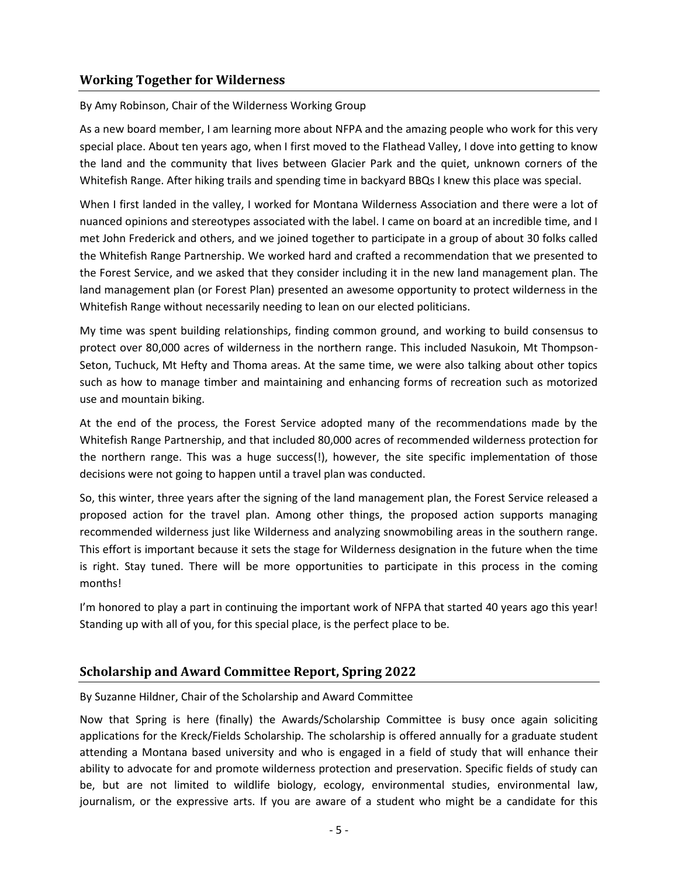### **Working Together for Wilderness**

#### By Amy Robinson, Chair of the Wilderness Working Group

As a new board member, I am learning more about NFPA and the amazing people who work for this very special place. About ten years ago, when I first moved to the Flathead Valley, I dove into getting to know the land and the community that lives between Glacier Park and the quiet, unknown corners of the Whitefish Range. After hiking trails and spending time in backyard BBQs I knew this place was special.

When I first landed in the valley, I worked for Montana Wilderness Association and there were a lot of nuanced opinions and stereotypes associated with the label. I came on board at an incredible time, and I met John Frederick and others, and we joined together to participate in a group of about 30 folks called the Whitefish Range Partnership. We worked hard and crafted a recommendation that we presented to the Forest Service, and we asked that they consider including it in the new land management plan. The land management plan (or Forest Plan) presented an awesome opportunity to protect wilderness in the Whitefish Range without necessarily needing to lean on our elected politicians.

My time was spent building relationships, finding common ground, and working to build consensus to protect over 80,000 acres of wilderness in the northern range. This included Nasukoin, Mt Thompson-Seton, Tuchuck, Mt Hefty and Thoma areas. At the same time, we were also talking about other topics such as how to manage timber and maintaining and enhancing forms of recreation such as motorized use and mountain biking.

At the end of the process, the Forest Service adopted many of the recommendations made by the Whitefish Range Partnership, and that included 80,000 acres of recommended wilderness protection for the northern range. This was a huge success(!), however, the site specific implementation of those decisions were not going to happen until a travel plan was conducted.

So, this winter, three years after the signing of the land management plan, the Forest Service released a proposed action for the travel plan. Among other things, the proposed action supports managing recommended wilderness just like Wilderness and analyzing snowmobiling areas in the southern range. This effort is important because it sets the stage for Wilderness designation in the future when the time is right. Stay tuned. There will be more opportunities to participate in this process in the coming months!

I'm honored to play a part in continuing the important work of NFPA that started 40 years ago this year! Standing up with all of you, for this special place, is the perfect place to be.

#### **Scholarship and Award Committee Report, Spring 2022**

By Suzanne Hildner, Chair of the Scholarship and Award Committee

Now that Spring is here (finally) the Awards/Scholarship Committee is busy once again soliciting applications for the Kreck/Fields Scholarship. The scholarship is offered annually for a graduate student attending a Montana based university and who is engaged in a field of study that will enhance their ability to advocate for and promote wilderness protection and preservation. Specific fields of study can be, but are not limited to wildlife biology, ecology, environmental studies, environmental law, journalism, or the expressive arts. If you are aware of a student who might be a candidate for this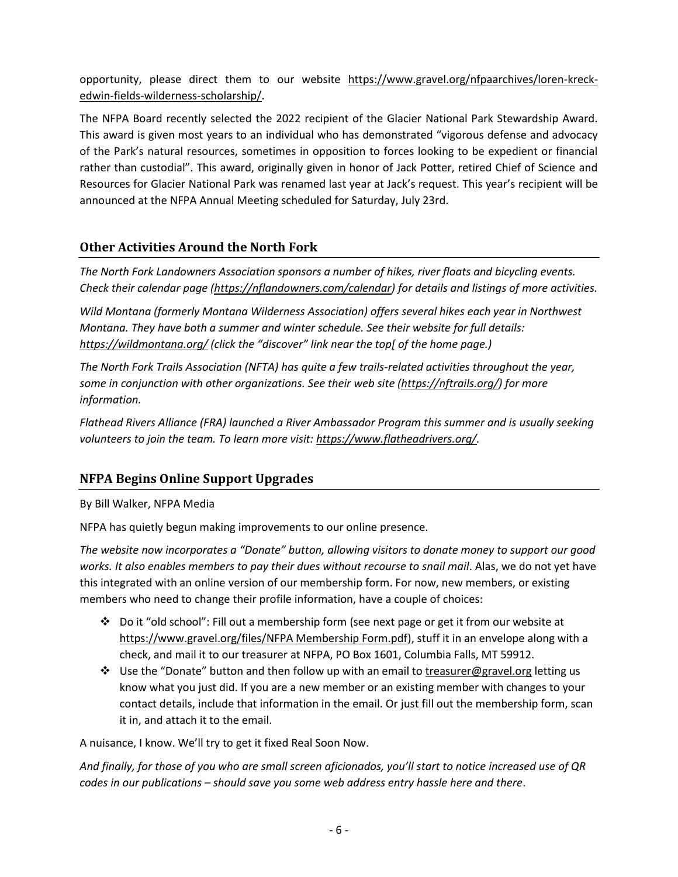opportunity, please direct them to our website [https://www.gravel.org/nfpaarchives/loren-kreck](https://www.gravel.org/nfpaarchives/loren-kreck-edwin-fields-wilderness-scholarship/)[edwin-fields-wilderness-scholarship/.](https://www.gravel.org/nfpaarchives/loren-kreck-edwin-fields-wilderness-scholarship/)

The NFPA Board recently selected the 2022 recipient of the Glacier National Park Stewardship Award. This award is given most years to an individual who has demonstrated "vigorous defense and advocacy of the Park's natural resources, sometimes in opposition to forces looking to be expedient or financial rather than custodial". This award, originally given in honor of Jack Potter, retired Chief of Science and Resources for Glacier National Park was renamed last year at Jack's request. This year's recipient will be announced at the NFPA Annual Meeting scheduled for Saturday, July 23rd.

# **Other Activities Around the North Fork**

*The North Fork Landowners Association sponsors a number of hikes, river floats and bicycling events. Check their calendar page [\(https://nflandowners.com/calendar\)](https://nflandowners.com/calendar) for details and listings of more activities.*

*Wild Montana (formerly Montana Wilderness Association) offers several hikes each year in Northwest Montana. They have both a summer and winter schedule. See their website for full details: <https://wildmontana.org/> (click the "discover" link near the top[ of the home page.)*

*The North Fork Trails Association (NFTA) has quite a few trails-related activities throughout the year, some in conjunction with other organizations. See their web site [\(https://nftrails.org/\)](https://nftrails.org/) for more information.*

*Flathead Rivers Alliance (FRA) launched a River Ambassador Program this summer and is usually seeking volunteers to join the team. To learn more visit[: https://www.flatheadrivers.org/.](https://www.flatheadrivers.org/)*

# **NFPA Begins Online Support Upgrades**

## By Bill Walker, NFPA Media

NFPA has quietly begun making improvements to our online presence.

*The website now incorporates a "Donate" button, allowing visitors to donate money to support our good works. It also enables members to pay their dues without recourse to snail mail*. Alas, we do not yet have this integrated with an online version of our membership form. For now, new members, or existing members who need to change their profile information, have a couple of choices:

- ❖ Do it "old school": Fill out a membership form (see next page or get it from our website at [https://www.gravel.org/files/NFPA Membership Form.pdf\)](https://www.gravel.org/files/NFPA%20Membership%20Form.pdf), stuff it in an envelope along with a check, and mail it to our treasurer at NFPA, PO Box 1601, Columbia Falls, MT 59912.
- ❖ Use the "Donate" button and then follow up with an email to [treasurer@gravel.org](mailto:treasurer@gravel.org) letting us know what you just did. If you are a new member or an existing member with changes to your contact details, include that information in the email. Or just fill out the membership form, scan it in, and attach it to the email.

A nuisance, I know. We'll try to get it fixed Real Soon Now.

And finally, for those of you who are small screen aficionados, you'll start to notice increased use of QR *codes in our publications – should save you some web address entry hassle here and there*.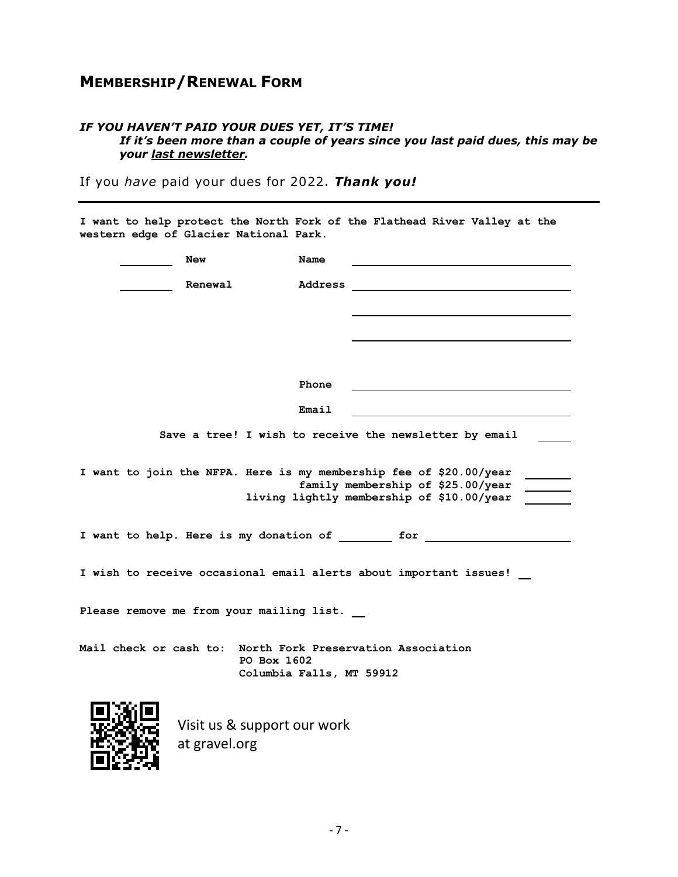# **MEMBERSHIP/RENEWAL FORM**

#### *IF YOU HAVEN'T PAID YOUR DUES YET, IT'S TIME! If it's been more than a couple of years since you last paid dues, this may be your last newsletter.*

If you *have* paid your dues for 2022. *Thank you!*

**I want to help protect the North Fork of the Flathead River Valley at the western edge of Glacier National Park. New Name New Name Renewal Address Phone Email Save a tree! I wish to receive the newsletter by email I want to join the NFPA. Here is my membership fee of \$20.00/year family membership of \$25.00/year living lightly membership of \$10.00/year**  I want to help. Here is my donation of <u>for the set of the set of  $f(x)$  for  $f(x)$  and  $f(x)$  are  $f(x)$ </u> **I wish to receive occasional email alerts about important issues! Please remove me from your mailing list. Mail check or cash to: North Fork Preservation Association PO Box 1602 Columbia Falls, MT 59912** Visit us [& support our work](https://www.gravel.org/) at [gravel.org](https://www.gravel.org/)